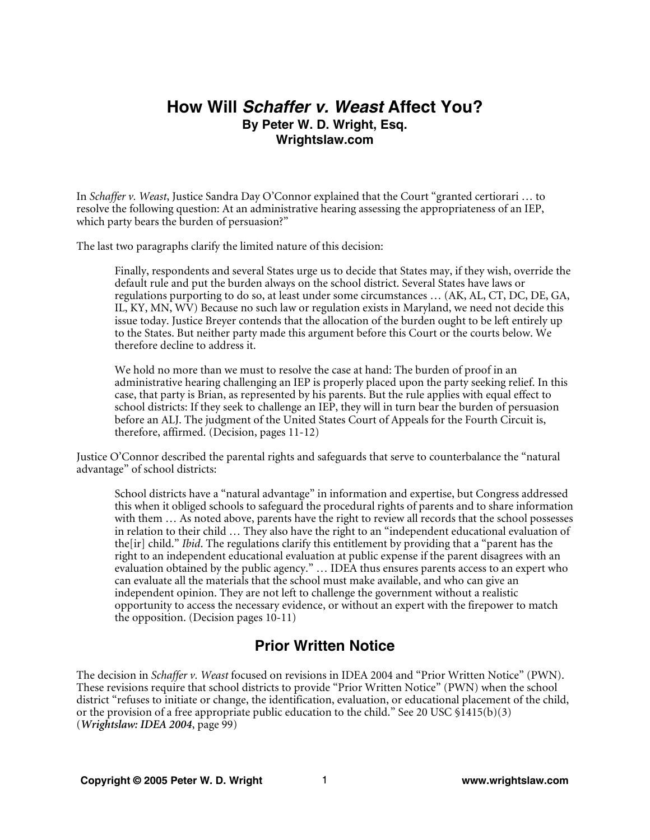## **How Will** *Schaffer v. Weast* **Affect You? By Peter W. D. Wright, Esq. Wrightslaw.com**

In *Schaffer v. Weast*, Justice Sandra Day O'Connor explained that the Court "granted certiorari … to resolve the following question: At an administrative hearing assessing the appropriateness of an IEP, which party bears the burden of persuasion?"

The last two paragraphs clarify the limited nature of this decision:

Finally, respondents and several States urge us to decide that States may, if they wish, override the default rule and put the burden always on the school district. Several States have laws or regulations purporting to do so, at least under some circumstances … (AK, AL, CT, DC, DE, GA, IL, KY, MN, WV) Because no such law or regulation exists in Maryland, we need not decide this issue today. Justice Breyer contends that the allocation of the burden ought to be left entirely up to the States. But neither party made this argument before this Court or the courts below. We therefore decline to address it.

We hold no more than we must to resolve the case at hand: The burden of proof in an administrative hearing challenging an IEP is properly placed upon the party seeking relief. In this case, that party is Brian, as represented by his parents. But the rule applies with equal effect to school districts: If they seek to challenge an IEP, they will in turn bear the burden of persuasion before an ALJ. The judgment of the United States Court of Appeals for the Fourth Circuit is, therefore, affirmed. (Decision, pages 11-12)

Justice O'Connor described the parental rights and safeguards that serve to counterbalance the "natural advantage" of school districts:

School districts have a "natural advantage" in information and expertise, but Congress addressed this when it obliged schools to safeguard the procedural rights of parents and to share information with them … As noted above, parents have the right to review all records that the school possesses in relation to their child … They also have the right to an "independent educational evaluation of the[ir] child." *Ibid*. The regulations clarify this entitlement by providing that a "parent has the right to an independent educational evaluation at public expense if the parent disagrees with an evaluation obtained by the public agency." … IDEA thus ensures parents access to an expert who can evaluate all the materials that the school must make available, and who can give an independent opinion. They are not left to challenge the government without a realistic opportunity to access the necessary evidence, or without an expert with the firepower to match the opposition. (Decision pages 10-11)

# **Prior Written Notice**

The decision in *Schaffer v. Weast* focused on revisions in IDEA 2004 and "Prior Written Notice" (PWN). These revisions require that school districts to provide "Prior Written Notice" (PWN) when the school district "refuses to initiate or change, the identification, evaluation, or educational placement of the child, or the provision of a free appropriate public education to the child." See 20 USC §1415(b)(3) (*Wrightslaw: IDEA 2004*, page 99)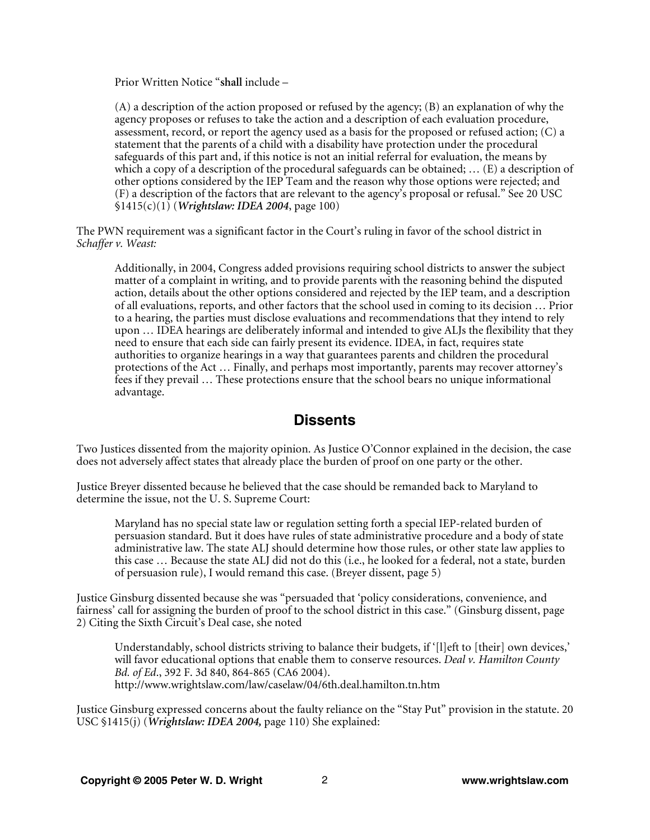Prior Written Notice "**shall** include –

(A) a description of the action proposed or refused by the agency; (B) an explanation of why the agency proposes or refuses to take the action and a description of each evaluation procedure, assessment, record, or report the agency used as a basis for the proposed or refused action; (C) a statement that the parents of a child with a disability have protection under the procedural safeguards of this part and, if this notice is not an initial referral for evaluation, the means by which a copy of a description of the procedural safeguards can be obtained; … (E) a description of other options considered by the IEP Team and the reason why those options were rejected; and (F) a description of the factors that are relevant to the agency's proposal or refusal." See 20 USC §1415(c)(1) (*Wrightslaw: IDEA 2004*, page 100)

The PWN requirement was a significant factor in the Court's ruling in favor of the school district in *Schaffer v. Weast:*

Additionally, in 2004, Congress added provisions requiring school districts to answer the subject matter of a complaint in writing, and to provide parents with the reasoning behind the disputed action, details about the other options considered and rejected by the IEP team, and a description of all evaluations, reports, and other factors that the school used in coming to its decision … Prior to a hearing, the parties must disclose evaluations and recommendations that they intend to rely upon … IDEA hearings are deliberately informal and intended to give ALJs the flexibility that they need to ensure that each side can fairly present its evidence. IDEA, in fact, requires state authorities to organize hearings in a way that guarantees parents and children the procedural protections of the Act … Finally, and perhaps most importantly, parents may recover attorney's fees if they prevail … These protections ensure that the school bears no unique informational advantage.

### **Dissents**

Two Justices dissented from the majority opinion. As Justice O'Connor explained in the decision, the case does not adversely affect states that already place the burden of proof on one party or the other.

Justice Breyer dissented because he believed that the case should be remanded back to Maryland to determine the issue, not the U. S. Supreme Court:

Maryland has no special state law or regulation setting forth a special IEP-related burden of persuasion standard. But it does have rules of state administrative procedure and a body of state administrative law. The state ALJ should determine how those rules, or other state law applies to this case … Because the state ALJ did not do this (i.e., he looked for a federal, not a state, burden of persuasion rule), I would remand this case. (Breyer dissent, page 5)

Justice Ginsburg dissented because she was "persuaded that 'policy considerations, convenience, and fairness' call for assigning the burden of proof to the school district in this case." (Ginsburg dissent, page 2) Citing the Sixth Circuit's Deal case, she noted

Understandably, school districts striving to balance their budgets, if '[l]eft to [their] own devices,' will favor educational options that enable them to conserve resources. *Deal v. Hamilton County Bd. of Ed*., 392 F. 3d 840, 864-865 (CA6 2004). http://www.wrightslaw.com/law/caselaw/04/6th.deal.hamilton.tn.htm

Justice Ginsburg expressed concerns about the faulty reliance on the "Stay Put" provision in the statute. 20 USC §1415(j) (*Wrightslaw: IDEA 2004,* page 110) She explained: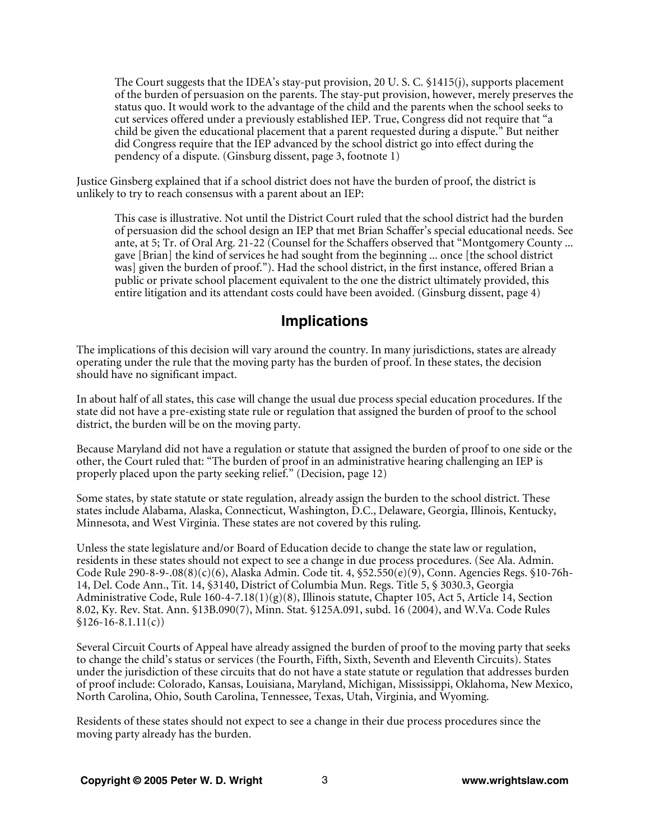The Court suggests that the IDEA's stay-put provision, 20 U. S. C. §1415(j), supports placement of the burden of persuasion on the parents. The stay-put provision, however, merely preserves the status quo. It would work to the advantage of the child and the parents when the school seeks to cut services offered under a previously established IEP. True, Congress did not require that "a child be given the educational placement that a parent requested during a dispute." But neither did Congress require that the IEP advanced by the school district go into effect during the pendency of a dispute. (Ginsburg dissent, page 3, footnote 1)

Justice Ginsberg explained that if a school district does not have the burden of proof, the district is unlikely to try to reach consensus with a parent about an IEP:

This case is illustrative. Not until the District Court ruled that the school district had the burden of persuasion did the school design an IEP that met Brian Schaffer's special educational needs. See ante, at 5; Tr. of Oral Arg. 21-22 (Counsel for the Schaffers observed that "Montgomery County ... gave [Brian] the kind of services he had sought from the beginning ... once [the school district was] given the burden of proof."). Had the school district, in the first instance, offered Brian a public or private school placement equivalent to the one the district ultimately provided, this entire litigation and its attendant costs could have been avoided. (Ginsburg dissent, page 4)

## **Implications**

The implications of this decision will vary around the country. In many jurisdictions, states are already operating under the rule that the moving party has the burden of proof. In these states, the decision should have no significant impact.

In about half of all states, this case will change the usual due process special education procedures. If the state did not have a pre-existing state rule or regulation that assigned the burden of proof to the school district, the burden will be on the moving party.

Because Maryland did not have a regulation or statute that assigned the burden of proof to one side or the other, the Court ruled that: "The burden of proof in an administrative hearing challenging an IEP is properly placed upon the party seeking relief." (Decision, page 12)

Some states, by state statute or state regulation, already assign the burden to the school district. These states include Alabama, Alaska, Connecticut, Washington, D.C., Delaware, Georgia, Illinois, Kentucky, Minnesota, and West Virginia. These states are not covered by this ruling.

Unless the state legislature and/or Board of Education decide to change the state law or regulation, residents in these states should not expect to see a change in due process procedures. (See Ala. Admin. Code Rule 290-8-9-.08(8)(c)(6), Alaska Admin. Code tit. 4, §52.550(e)(9), Conn. Agencies Regs. §10-76h-14, Del. Code Ann., Tit. 14, §3140, District of Columbia Mun. Regs. Title 5, § 3030.3, Georgia Administrative Code, Rule 160-4-7.18(1)(g)(8), Illinois statute, Chapter 105, Act 5, Article 14, Section 8.02, Ky. Rev. Stat. Ann. §13B.090(7), Minn. Stat. §125A.091, subd. 16 (2004), and W.Va. Code Rules  $$126-16-8.1.11(c)]$ 

Several Circuit Courts of Appeal have already assigned the burden of proof to the moving party that seeks to change the child's status or services (the Fourth, Fifth, Sixth, Seventh and Eleventh Circuits). States under the jurisdiction of these circuits that do not have a state statute or regulation that addresses burden of proof include: Colorado, Kansas, Louisiana, Maryland, Michigan, Mississippi, Oklahoma, New Mexico, North Carolina, Ohio, South Carolina, Tennessee, Texas, Utah, Virginia, and Wyoming.

Residents of these states should not expect to see a change in their due process procedures since the moving party already has the burden.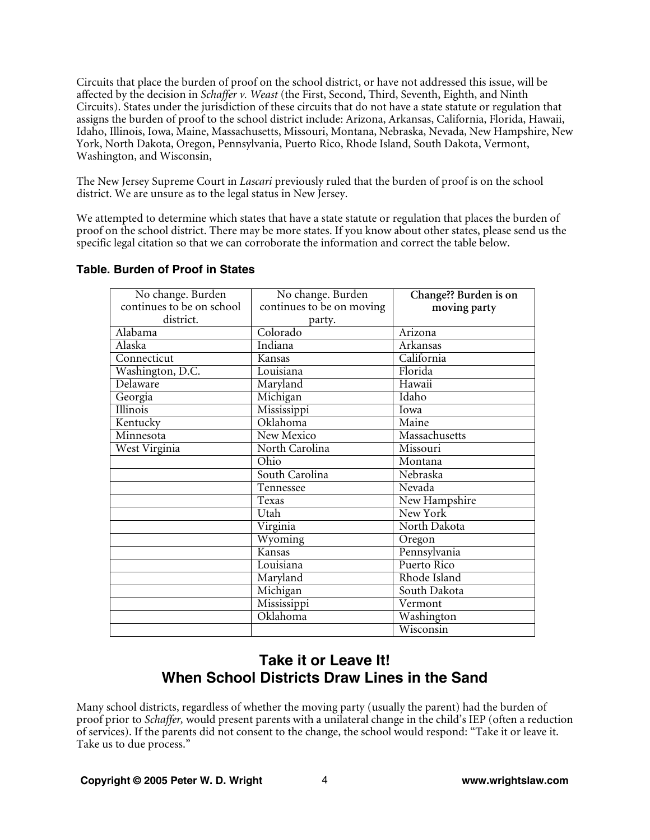Circuits that place the burden of proof on the school district, or have not addressed this issue, will be affected by the decision in *Schaffer v. Weast* (the First, Second, Third, Seventh, Eighth, and Ninth Circuits). States under the jurisdiction of these circuits that do not have a state statute or regulation that assigns the burden of proof to the school district include: Arizona, Arkansas, California, Florida, Hawaii, Idaho, Illinois, Iowa, Maine, Massachusetts, Missouri, Montana, Nebraska, Nevada, New Hampshire, New York, North Dakota, Oregon, Pennsylvania, Puerto Rico, Rhode Island, South Dakota, Vermont, Washington, and Wisconsin,

The New Jersey Supreme Court in *Lascari* previously ruled that the burden of proof is on the school district. We are unsure as to the legal status in New Jersey.

We attempted to determine which states that have a state statute or regulation that places the burden of proof on the school district. There may be more states. If you know about other states, please send us the specific legal citation so that we can corroborate the information and correct the table below.

| No change. Burden         | No change. Burden         | Change?? Burden is on |
|---------------------------|---------------------------|-----------------------|
| continues to be on school | continues to be on moving | moving party          |
| district.                 | party.                    |                       |
| Alabama                   | Colorado                  | Arizona               |
| Alaska                    | Indiana                   | <b>Arkansas</b>       |
| Connecticut               | Kansas                    | California            |
| Washington, D.C.          | Louisiana                 | Florida               |
| Delaware                  | Maryland                  | Hawaii                |
| Georgia                   | Michigan                  | Idaho                 |
| Illinois                  | Mississippi               | Iowa                  |
| Kentucky                  | Oklahoma                  | Maine                 |
| Minnesota                 | New Mexico                | Massachusetts         |
| West Virginia             | North Carolina            | Missouri              |
|                           | Ohio                      | Montana               |
|                           | South Carolina            | Nebraska              |
|                           | Tennessee                 | Nevada                |
|                           | Texas                     | New Hampshire         |
|                           | Utah                      | New York              |
|                           | Virginia                  | North Dakota          |
|                           | Wyoming                   | Oregon                |
|                           | Kansas                    | Pennsylvania          |
|                           | Louisiana                 | Puerto Rico           |
|                           | Maryland                  | Rhode Island          |
|                           | Michigan                  | South Dakota          |
|                           | Mississippi               | Vermont               |
|                           | Oklahoma                  | Washington            |
|                           |                           | Wisconsin             |

### **Table. Burden of Proof in States**

# **Take it or Leave It! When School Districts Draw Lines in the Sand**

Many school districts, regardless of whether the moving party (usually the parent) had the burden of proof prior to *Schaffer,* would present parents with a unilateral change in the child's IEP (often a reduction of services). If the parents did not consent to the change, the school would respond: "Take it or leave it. Take us to due process."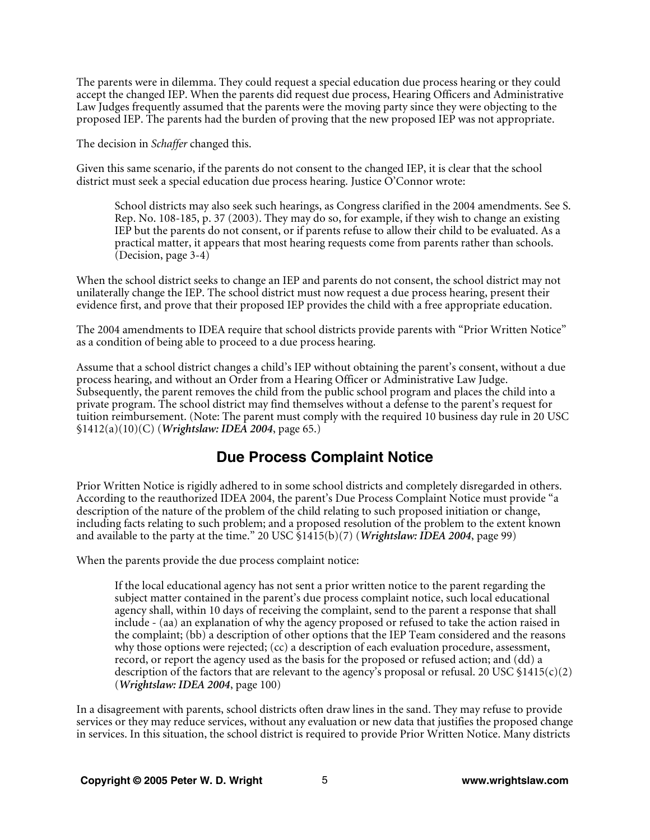The parents were in dilemma. They could request a special education due process hearing or they could accept the changed IEP. When the parents did request due process, Hearing Officers and Administrative Law Judges frequently assumed that the parents were the moving party since they were objecting to the proposed IEP. The parents had the burden of proving that the new proposed IEP was not appropriate.

The decision in *Schaffer* changed this.

Given this same scenario, if the parents do not consent to the changed IEP, it is clear that the school district must seek a special education due process hearing. Justice O'Connor wrote:

School districts may also seek such hearings, as Congress clarified in the 2004 amendments. See S. Rep. No. 108-185, p. 37 (2003). They may do so, for example, if they wish to change an existing IEP but the parents do not consent, or if parents refuse to allow their child to be evaluated. As a practical matter, it appears that most hearing requests come from parents rather than schools. (Decision, page 3-4)

When the school district seeks to change an IEP and parents do not consent, the school district may not unilaterally change the IEP. The school district must now request a due process hearing, present their evidence first, and prove that their proposed IEP provides the child with a free appropriate education.

The 2004 amendments to IDEA require that school districts provide parents with "Prior Written Notice" as a condition of being able to proceed to a due process hearing.

Assume that a school district changes a child's IEP without obtaining the parent's consent, without a due process hearing, and without an Order from a Hearing Officer or Administrative Law Judge. Subsequently, the parent removes the child from the public school program and places the child into a private program. The school district may find themselves without a defense to the parent's request for tuition reimbursement. (Note: The parent must comply with the required 10 business day rule in 20 USC §1412(a)(10)(C) (*Wrightslaw: IDEA 2004*, page 65.)

# **Due Process Complaint Notice**

Prior Written Notice is rigidly adhered to in some school districts and completely disregarded in others. According to the reauthorized IDEA 2004, the parent's Due Process Complaint Notice must provide "a description of the nature of the problem of the child relating to such proposed initiation or change, including facts relating to such problem; and a proposed resolution of the problem to the extent known and available to the party at the time." 20 USC §1415(b)(7) (*Wrightslaw: IDEA 2004*, page 99)

When the parents provide the due process complaint notice:

If the local educational agency has not sent a prior written notice to the parent regarding the subject matter contained in the parent's due process complaint notice, such local educational agency shall, within 10 days of receiving the complaint, send to the parent a response that shall include - (aa) an explanation of why the agency proposed or refused to take the action raised in the complaint; (bb) a description of other options that the IEP Team considered and the reasons why those options were rejected; (cc) a description of each evaluation procedure, assessment, record, or report the agency used as the basis for the proposed or refused action; and (dd) a description of the factors that are relevant to the agency's proposal or refusal. 20 USC  $$1415(c)(2)$ (*Wrightslaw: IDEA 2004*, page 100)

In a disagreement with parents, school districts often draw lines in the sand. They may refuse to provide services or they may reduce services, without any evaluation or new data that justifies the proposed change in services. In this situation, the school district is required to provide Prior Written Notice. Many districts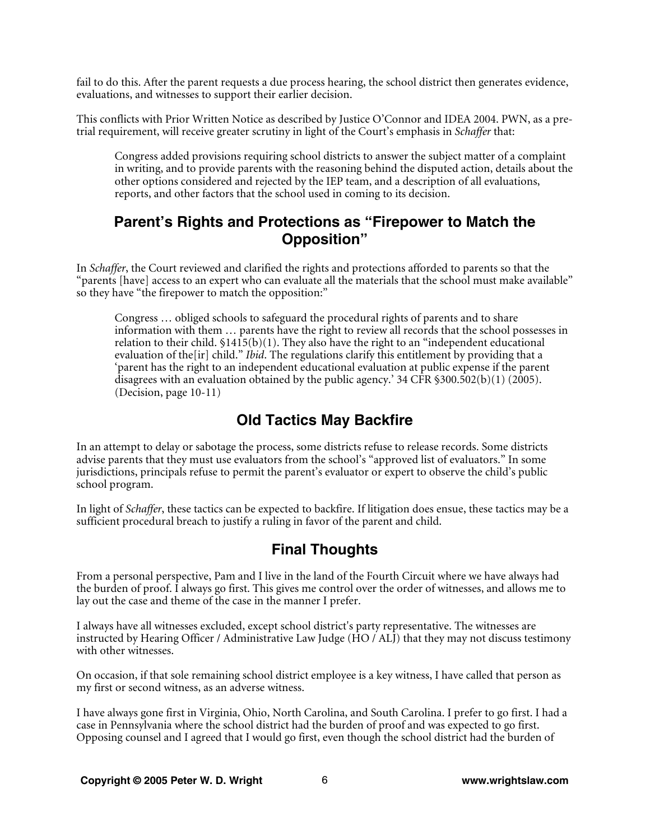fail to do this. After the parent requests a due process hearing, the school district then generates evidence, evaluations, and witnesses to support their earlier decision.

This conflicts with Prior Written Notice as described by Justice O'Connor and IDEA 2004. PWN, as a pretrial requirement, will receive greater scrutiny in light of the Court's emphasis in *Schaffer* that:

Congress added provisions requiring school districts to answer the subject matter of a complaint in writing, and to provide parents with the reasoning behind the disputed action, details about the other options considered and rejected by the IEP team, and a description of all evaluations, reports, and other factors that the school used in coming to its decision.

## **Parent's Rights and Protections as "Firepower to Match the Opposition"**

In *Schaffer*, the Court reviewed and clarified the rights and protections afforded to parents so that the "parents [have] access to an expert who can evaluate all the materials that the school must make available" so they have "the firepower to match the opposition:"

Congress … obliged schools to safeguard the procedural rights of parents and to share information with them … parents have the right to review all records that the school possesses in relation to their child. §1415(b)(1). They also have the right to an "independent educational evaluation of the[ir] child." *Ibid*. The regulations clarify this entitlement by providing that a 'parent has the right to an independent educational evaluation at public expense if the parent disagrees with an evaluation obtained by the public agency.'  $34 \overline{\text{CFR}}$  \$300.502(b)(1) (2005). (Decision, page 10-11)

# **Old Tactics May Backfire**

In an attempt to delay or sabotage the process, some districts refuse to release records. Some districts advise parents that they must use evaluators from the school's "approved list of evaluators." In some jurisdictions, principals refuse to permit the parent's evaluator or expert to observe the child's public school program.

In light of *Schaffer*, these tactics can be expected to backfire. If litigation does ensue, these tactics may be a sufficient procedural breach to justify a ruling in favor of the parent and child.

# **Final Thoughts**

From a personal perspective, Pam and I live in the land of the Fourth Circuit where we have always had the burden of proof. I always go first. This gives me control over the order of witnesses, and allows me to lay out the case and theme of the case in the manner I prefer.

I always have all witnesses excluded, except school district's party representative. The witnesses are instructed by Hearing Officer / Administrative Law Judge (HO / ALJ) that they may not discuss testimony with other witnesses.

On occasion, if that sole remaining school district employee is a key witness, I have called that person as my first or second witness, as an adverse witness.

I have always gone first in Virginia, Ohio, North Carolina, and South Carolina. I prefer to go first. I had a case in Pennsylvania where the school district had the burden of proof and was expected to go first. Opposing counsel and I agreed that I would go first, even though the school district had the burden of